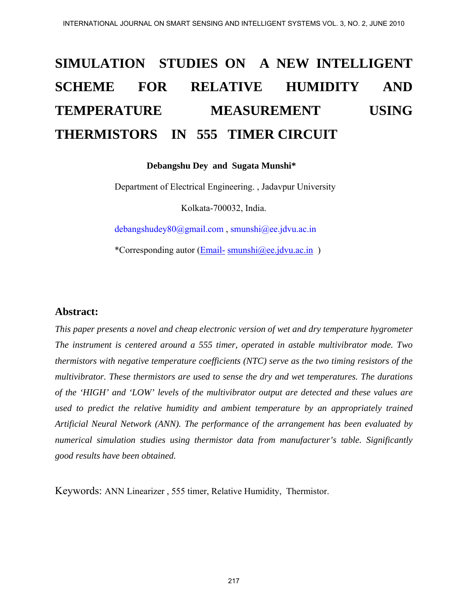# **SIMULATION STUDIES ON A NEW INTELLIGENT SCHEME FOR RELATIVE HUMIDITY AND TEMPERATURE MEASUREMENT USING THERMISTORS IN 555 TIMER CIRCUIT**

 **Debangshu Dey and Sugata Munshi\*** 

 Department of Electrical Engineering. , Jadavpur University Kolkata-700032, India.

debangshudey80@gmail.com , smunshi@ee.jdvu.ac.in

\*Corresponding autor [\(Email-](mailto:Email-debangshudey80@gmail.com) [smunshi@ee.jdvu.ac.in](mailto:smunshi@ee.jdvu.ac.in) )

#### **Abstract:**

*This paper presents a novel and cheap electronic version of wet and dry temperature hygrometer The instrument is centered around a 555 timer, operated in astable multivibrator mode. Two thermistors with negative temperature coefficients (NTC) serve as the two timing resistors of the multivibrator. These thermistors are used to sense the dry and wet temperatures. The durations of the 'HIGH' and 'LOW' levels of the multivibrator output are detected and these values are used to predict the relative humidity and ambient temperature by an appropriately trained Artificial Neural Network (ANN). The performance of the arrangement has been evaluated by numerical simulation studies using thermistor data from manufacturer's table. Significantly good results have been obtained.* 

Keywords: ANN Linearizer , 555 timer, Relative Humidity, Thermistor.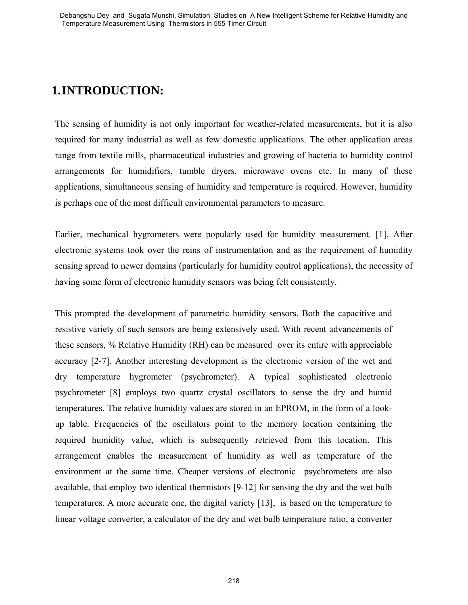# **1.INTRODUCTION:**

The sensing of humidity is not only important for weather-related measurements, but it is also required for many industrial as well as few domestic applications. The other application areas range from textile mills, pharmaceutical industries and growing of bacteria to humidity control arrangements for humidifiers, tumble dryers, microwave ovens etc. In many of these applications, simultaneous sensing of humidity and temperature is required. However, humidity is perhaps one of the most difficult environmental parameters to measure.

Earlier, mechanical hygrometers were popularly used for humidity measurement. [1]. After electronic systems took over the reins of instrumentation and as the requirement of humidity sensing spread to newer domains (particularly for humidity control applications), the necessity of having some form of electronic humidity sensors was being felt consistently.

This prompted the development of parametric humidity sensors. Both the capacitive and resistive variety of such sensors are being extensively used. With recent advancements of these sensors, % Relative Humidity (RH) can be measured over its entire with appreciable accuracy [2-7]. Another interesting development is the electronic version of the wet and dry temperature hygrometer (psychrometer). A typical sophisticated electronic psychrometer [8] employs two quartz crystal oscillators to sense the dry and humid temperatures. The relative humidity values are stored in an EPROM, in the form of a lookup table. Frequencies of the oscillators point to the memory location containing the required humidity value, which is subsequently retrieved from this location. This arrangement enables the measurement of humidity as well as temperature of the environment at the same time. Cheaper versions of electronic psychrometers are also available, that employ two identical thermistors [9-12] for sensing the dry and the wet bulb temperatures. A more accurate one, the digital variety [13], is based on the temperature to linear voltage converter, a calculator of the dry and wet bulb temperature ratio, a converter Determines and the set of the studies of the studies of the studies of the studies of the studies of the studies of the studies of the studies of the studies of the studies of the studies of the studies of the studies of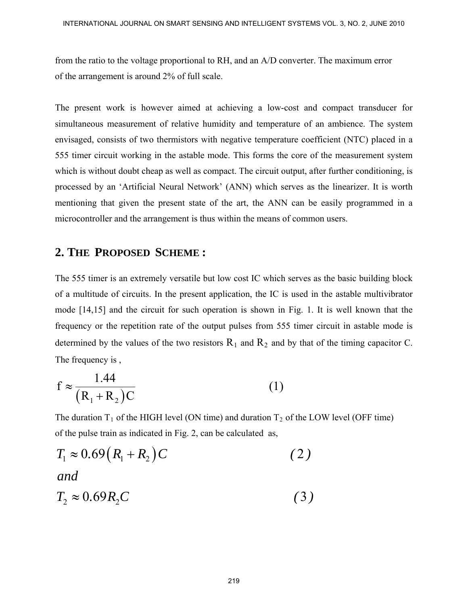from the ratio to the voltage proportional to RH, and an A/D converter. The maximum error of the arrangement is around 2% of full scale.

The present work is however aimed at achieving a low-cost and compact transducer for simultaneous measurement of relative humidity and temperature of an ambience. The system envisaged, consists of two thermistors with negative temperature coefficient (NTC) placed in a 555 timer circuit working in the astable mode. This forms the core of the measurement system which is without doubt cheap as well as compact. The circuit output, after further conditioning, is processed by an 'Artificial Neural Network' (ANN) which serves as the linearizer. It is worth mentioning that given the present state of the art, the ANN can be easily programmed in a microcontroller and the arrangement is thus within the means of common users.

#### **2. THE PROPOSED SCHEME :**

The 555 timer is an extremely versatile but low cost IC which serves as the basic building block of a multitude of circuits. In the present application, the IC is used in the astable multivibrator mode [14,15] and the circuit for such operation is shown in Fig. 1. It is well known that the frequency or the repetition rate of the output pulses from 555 timer circuit in astable mode is determined by the values of the two resistors  $R_1$  and  $R_2$  and by that of the timing capacitor C. The frequency is ,

$$
f \approx \frac{1.44}{(R_1 + R_2)C}
$$
 (1)

The duration  $T_1$  of the HIGH level (ON time) and duration  $T_2$  of the LOW level (OFF time) of the pulse train as indicated in Fig. 2, can be calculated as,

$$
T_1 \approx 0.69(R_1 + R_2)C
$$
\nand\n
$$
T_2 \approx 0.69R_2C
$$
\n(3)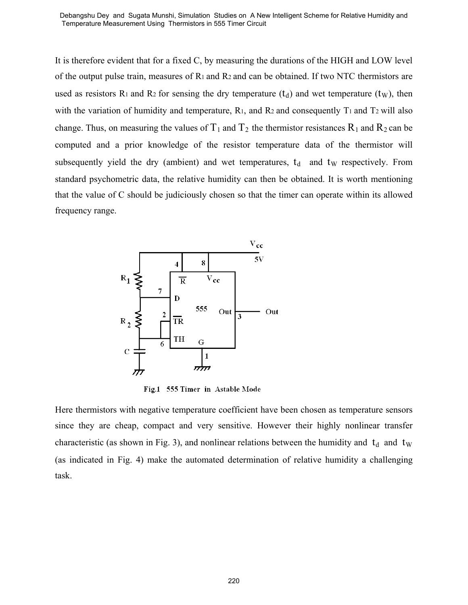Temperature Measurement Using Thermistors in 555 Timer Circuit

It is therefore evident that for a fixed C, by measuring the durations of the HIGH and LOW level of the output pulse train, measures of  $R_1$  and  $R_2$  and can be obtained. If two NTC thermistors are used as resistors R<sub>1</sub> and R<sub>2</sub> for sensing the dry temperature  $(t_d)$  and wet temperature  $(t_w)$ , then with the variation of humidity and temperature,  $R_1$ , and  $R_2$  and consequently  $T_1$  and  $T_2$  will also change. Thus, on measuring the values of  $T_1$  and  $T_2$  the thermistor resistances  $R_1$  and  $R_2$  can be computed and a prior knowledge of the resistor temperature data of the thermistor will subsequently yield the dry (ambient) and wet temperatures,  $t_d$  and  $t_w$  respectively. From standard psychometric data, the relative humidity can then be obtained. It is worth mentioning that the value of C should be judiciously chosen so that the timer can operate within its allowed frequency range. Dependent of the set of the studies of the studies of the studies of the NH of the Couplin of the Sugar Content that for a fixed C, by measuring the durations of the HKHH and LOW level<br>The coupling pulse train, measures o



Here thermistors with negative temperature coefficient have been chosen as temperature sensors since they are cheap, compact and very sensitive. However their highly nonlinear transfer characteristic (as shown in Fig. 3), and nonlinear relations between the humidity and  $t_d$  and  $t_w$ (as indicated in Fig. 4) make the automated determination of relative humidity a challenging task.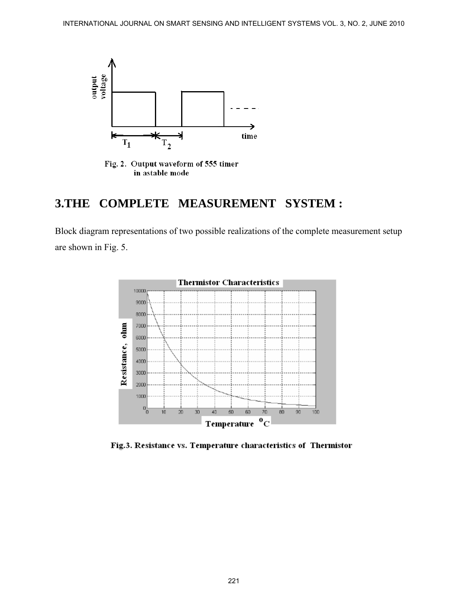

Fig. 2. Output waveform of 555 timer in astable mode

## **3.THE COMPLETE MEASUREMENT SYSTEM :**

Block diagram representations of two possible realizations of the complete measurement setup are shown in Fig. 5.



Fig.3. Resistance vs. Temperature characteristics of Thermistor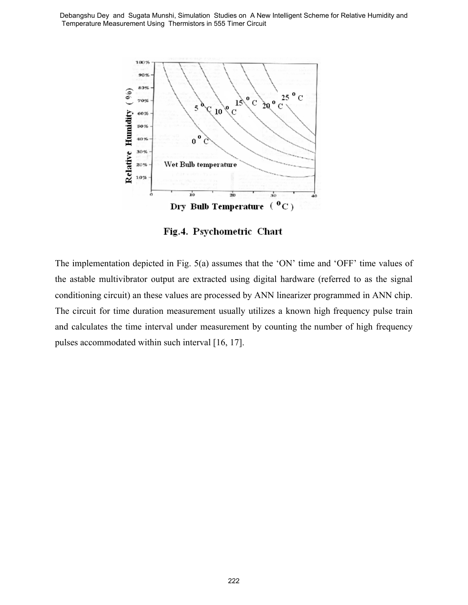

The implementation depicted in Fig. 5(a) assumes that the 'ON' time and 'OFF' time values of the astable multivibrator output are extracted using digital hardware (referred to as the signal conditioning circuit) an these values are processed by ANN linearizer programmed in ANN chip. The circuit for time duration measurement usually utilizes a known high frequency pulse train and calculates the time interval under measurement by counting the number of high frequency pulses accommodated within such interval [16, 17].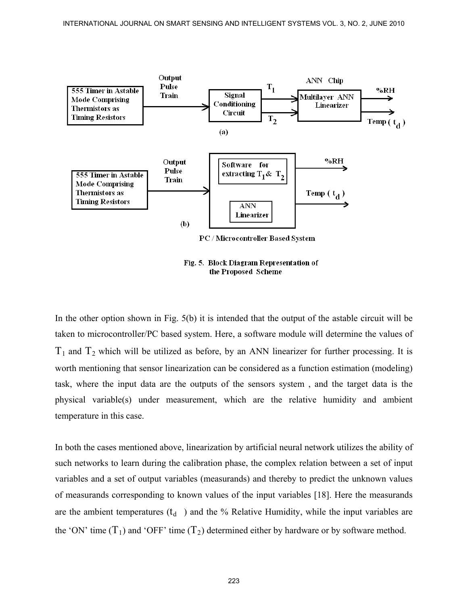

Fig. 5. Block Diagram Representation of the Proposed Scheme

In the other option shown in Fig. 5(b) it is intended that the output of the astable circuit will be taken to microcontroller/PC based system. Here, a software module will determine the values of  $T_1$  and  $T_2$  which will be utilized as before, by an ANN linearizer for further processing. It is worth mentioning that sensor linearization can be considered as a function estimation (modeling) task, where the input data are the outputs of the sensors system , and the target data is the physical variable(s) under measurement, which are the relative humidity and ambient temperature in this case.

In both the cases mentioned above, linearization by artificial neural network utilizes the ability of such networks to learn during the calibration phase, the complex relation between a set of input variables and a set of output variables (measurands) and thereby to predict the unknown values of measurands corresponding to known values of the input variables [18]. Here the measurands are the ambient temperatures  $(t_d$ ) and the % Relative Humidity, while the input variables are the 'ON' time  $(T_1)$  and 'OFF' time  $(T_2)$  determined either by hardware or by software method.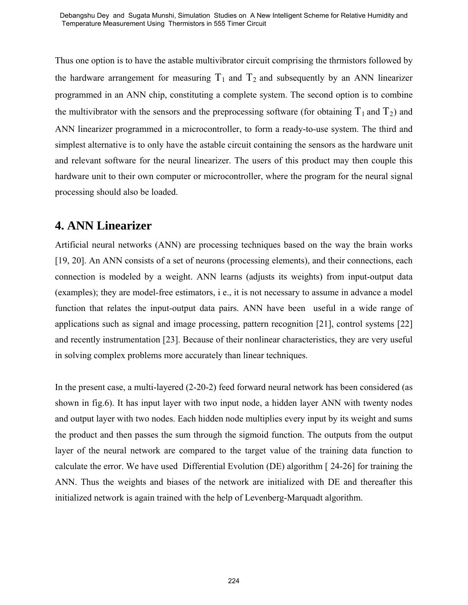Thus one option is to have the astable multivibrator circuit comprising the thrmistors followed by the hardware arrangement for measuring  $T_1$  and  $T_2$  and subsequently by an ANN linearizer programmed in an ANN chip, constituting a complete system. The second option is to combine the multivibrator with the sensors and the preprocessing software (for obtaining  $T_1$  and  $T_2$ ) and ANN linearizer programmed in a microcontroller, to form a ready-to-use system. The third and simplest alternative is to only have the astable circuit containing the sensors as the hardware unit and relevant software for the neural linearizer. The users of this product may then couple this hardware unit to their own computer or microcontroller, where the program for the neural signal processing should also be loaded. Constrained recent the state bands for the state of the network of the network of the state of the network of the network of the network of the network of the network of the network of the network of the network of the net

# **4. ANN Linearizer**

Artificial neural networks (ANN) are processing techniques based on the way the brain works [19, 20]. An ANN consists of a set of neurons (processing elements), and their connections, each connection is modeled by a weight. ANN learns (adjusts its weights) from input-output data (examples); they are model-free estimators, i e., it is not necessary to assume in advance a model function that relates the input-output data pairs. ANN have been useful in a wide range of applications such as signal and image processing, pattern recognition [21], control systems [22] and recently instrumentation [23]. Because of their nonlinear characteristics, they are very useful in solving complex problems more accurately than linear techniques.

In the present case, a multi-layered (2-20-2) feed forward neural network has been considered (as shown in fig.6). It has input layer with two input node, a hidden layer ANN with twenty nodes and output layer with two nodes. Each hidden node multiplies every input by its weight and sums the product and then passes the sum through the sigmoid function. The outputs from the output layer of the neural network are compared to the target value of the training data function to calculate the error. We have used Differential Evolution (DE) algorithm [ 24-26] for training the ANN. Thus the weights and biases of the network are initialized with DE and thereafter this initialized network is again trained with the help of Levenberg-Marquadt algorithm.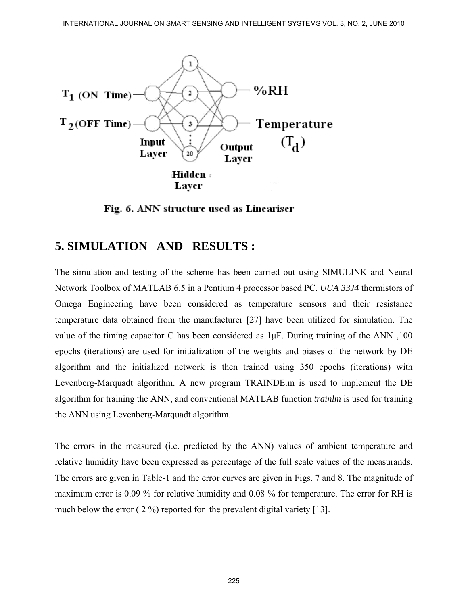

Fig. 6. ANN structure used as Lineariser

## **5. SIMULATION AND RESULTS :**

The simulation and testing of the scheme has been carried out using SIMULINK and Neural Network Toolbox of MATLAB 6.5 in a Pentium 4 processor based PC. *UUA 33J4* thermistors of Omega Engineering have been considered as temperature sensors and their resistance temperature data obtained from the manufacturer [27] have been utilized for simulation. The value of the timing capacitor C has been considered as 1μF. During training of the ANN ,100 epochs (iterations) are used for initialization of the weights and biases of the network by DE algorithm and the initialized network is then trained using 350 epochs (iterations) with Levenberg-Marquadt algorithm. A new program TRAINDE.m is used to implement the DE algorithm for training the ANN, and conventional MATLAB function *trainlm* is used for training the ANN using Levenberg-Marquadt algorithm.

The errors in the measured (i.e. predicted by the ANN) values of ambient temperature and relative humidity have been expressed as percentage of the full scale values of the measurands. The errors are given in Table-1 and the error curves are given in Figs. 7 and 8. The magnitude of maximum error is 0.09 % for relative humidity and 0.08 % for temperature. The error for RH is much below the error ( 2 %) reported for the prevalent digital variety [13].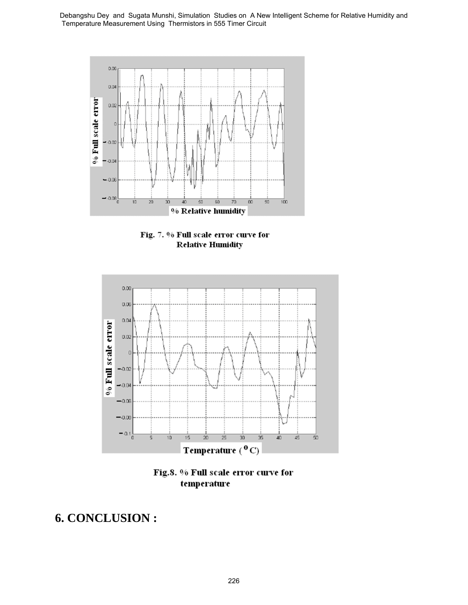



# **6. CONCLUSION :**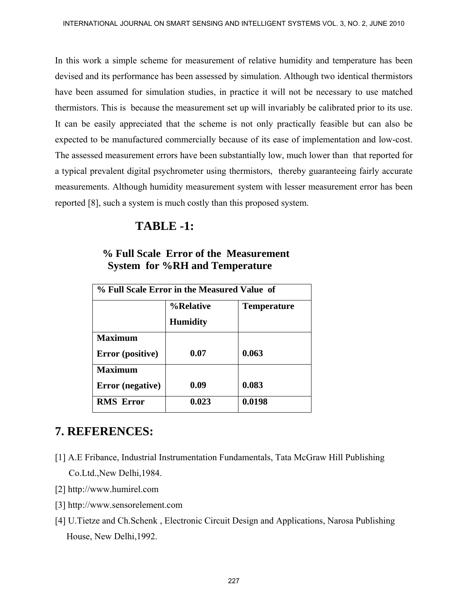In this work a simple scheme for measurement of relative humidity and temperature has been devised and its performance has been assessed by simulation. Although two identical thermistors have been assumed for simulation studies, in practice it will not be necessary to use matched thermistors. This is because the measurement set up will invariably be calibrated prior to its use. It can be easily appreciated that the scheme is not only practically feasible but can also be expected to be manufactured commercially because of its ease of implementation and low-cost. The assessed measurement errors have been substantially low, much lower than that reported for a typical prevalent digital psychrometer using thermistors, thereby guaranteeing fairly accurate measurements. Although humidity measurement system with lesser measurement error has been reported [8], such a system is much costly than this proposed system.

#### **TABLE -1:**

| % Full Scale Error in the Measured Value of |                 |                    |
|---------------------------------------------|-----------------|--------------------|
|                                             | %Relative       | <b>Temperature</b> |
|                                             | <b>Humidity</b> |                    |
| <b>Maximum</b>                              |                 |                    |
| Error (positive)                            | 0.07            | 0.063              |
| <b>Maximum</b>                              |                 |                    |
| Error (negative)                            | 0.09            | 0.083              |
| <b>RMS Error</b>                            | 0.023           | 0.0198             |

#### **% Full Scale Error of the Measurement System for %RH and Temperature**

## **7. REFERENCES:**

- [1] A.E Fribance, Industrial Instrumentation Fundamentals, Tata McGraw Hill Publishing Co.Ltd.,New Delhi,1984.
- [2] http://www.humirel.com
- [3] http://www.sensorelement.com
- [4] U.Tietze and Ch.Schenk , Electronic Circuit Design and Applications, Narosa Publishing House, New Delhi,1992.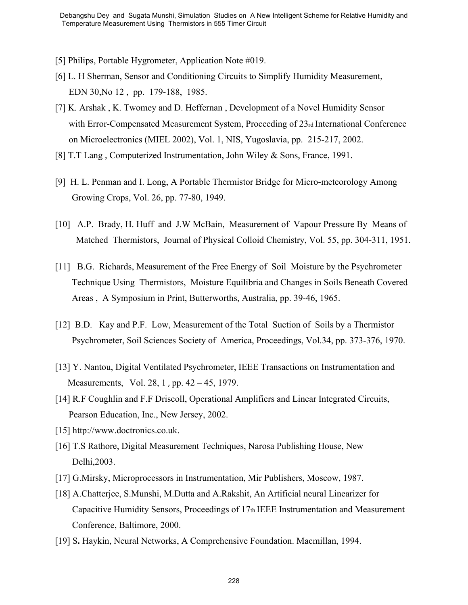- [5] Philips, Portable Hygrometer, Application Note #019.
- [6] L. H Sherman, Sensor and Conditioning Circuits to Simplify Humidity Measurement, EDN 30,No 12 , pp. 179-188, 1985.
- [7] K. Arshak , K. Twomey and D. Heffernan , Development of a Novel Humidity Sensor with Error-Compensated Measurement System, Proceeding of 23rd International Conference on Microelectronics (MIEL 2002), Vol. 1, NIS, Yugoslavia, pp. 215-217, 2002.
- [8] T.T Lang , Computerized Instrumentation, John Wiley & Sons, France, 1991.
- [9] H. L. Penman and I. Long, A Portable Thermistor Bridge for Micro-meteorology Among Growing Crops, Vol. 26, pp. 77-80, 1949.
- [10] A.P. Brady, H. Huff and J.W McBain, Measurement of Vapour Pressure By Means of Matched Thermistors, Journal of Physical Colloid Chemistry, Vol. 55, pp. 304-311, 1951.
- [11] B.G. Richards, Measurement of the Free Energy of Soil Moisture by the Psychrometer Technique Using Thermistors, Moisture Equilibria and Changes in Soils Beneath Covered Areas , A Symposium in Print, Butterworths, Australia, pp. 39-46, 1965. Dependicular set Squata Municipal Scheme Scheme A New Independent Department Conditions, the Studies of Philips, Portalis (F1 Philips, Portalis Hygmenter, Applieation Note B(19).<br>
[1] L. H. Sherman, Sessor and Conditioning
- [12] B.D. Kay and P.F. Low, Measurement of the Total Suction of Soils by a Thermistor Psychrometer, Soil Sciences Society of America, Proceedings, Vol.34, pp. 373-376, 1970.
- [13] Y. Nantou, Digital Ventilated Psychrometer, IEEE Transactions on Instrumentation and Measurements, Vol. 28, [1](http://ieeexplore.ieee.org/xpl/tocresult.jsp?isnumber=4314746), pp. 42 – 45, 1979.
- [14] R.F Coughlin and F.F Driscoll, Operational Amplifiers and Linear Integrated Circuits, Pearson Education, Inc., New Jersey, 2002.
- [15] http://www.doctronics.co.uk.
- [16] T.S Rathore, Digital Measurement Techniques, Narosa Publishing House, New Delhi,2003.
- [17] G.Mirsky, Microprocessors in Instrumentation, Mir Publishers, Moscow, 1987.
- [18] A.Chatterjee, S.Munshi, M.Dutta and A.Rakshit, An Artificial neural Linearizer for Capacitive Humidity Sensors, Proceedings of 17th IEEE Instrumentation and Measurement Conference, Baltimore, 2000.
- [19] S**.** Haykin, Neural Networks, A Comprehensive Foundation. Macmillan, 1994.